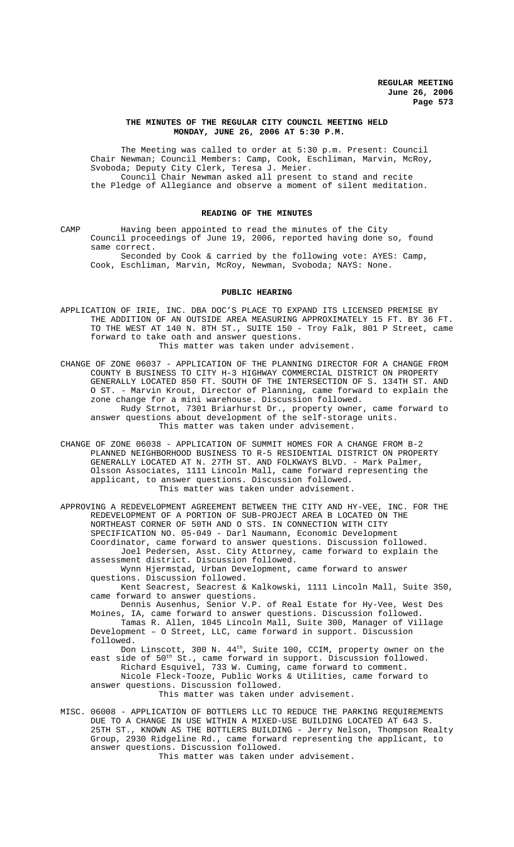## **THE MINUTES OF THE REGULAR CITY COUNCIL MEETING HELD MONDAY, JUNE 26, 2006 AT 5:30 P.M.**

The Meeting was called to order at 5:30 p.m. Present: Council Chair Newman; Council Members: Camp, Cook, Eschliman, Marvin, McRoy, Svoboda; Deputy City Clerk, Teresa J. Meier. Council Chair Newman asked all present to stand and recite the Pledge of Allegiance and observe a moment of silent meditation.

# **READING OF THE MINUTES**

CAMP Having been appointed to read the minutes of the City Council proceedings of June 19, 2006, reported having done so, found same correct.

Seconded by Cook & carried by the following vote: AYES: Camp, Cook, Eschliman, Marvin, McRoy, Newman, Svoboda; NAYS: None.

#### **PUBLIC HEARING**

- APPLICATION OF IRIE, INC. DBA DOC'S PLACE TO EXPAND ITS LICENSED PREMISE BY THE ADDITION OF AN OUTSIDE AREA MEASURING APPROXIMATELY 15 FT. BY 36 FT. TO THE WEST AT 140 N. 8TH ST., SUITE 150 - Troy Falk, 801 P Street, came forward to take oath and answer questions. This matter was taken under advisement.
- CHANGE OF ZONE 06037 APPLICATION OF THE PLANNING DIRECTOR FOR A CHANGE FROM COUNTY B BUSINESS TO CITY H-3 HIGHWAY COMMERCIAL DISTRICT ON PROPERTY GENERALLY LOCATED 850 FT. SOUTH OF THE INTERSECTION OF S. 134TH ST. AND O ST. - Marvin Krout, Director of Planning, came forward to explain the zone change for a mini warehouse. Discussion followed. Rudy Strnot, 7301 Briarhurst Dr., property owner, came forward to answer questions about development of the self-storage units. This matter was taken under advisement.
- CHANGE OF ZONE 06038 APPLICATION OF SUMMIT HOMES FOR A CHANGE FROM B-2 PLANNED NEIGHBORHOOD BUSINESS TO R-5 RESIDENTIAL DISTRICT ON PROPERTY GENERALLY LOCATED AT N. 27TH ST. AND FOLKWAYS BLVD. - Mark Palmer, Olsson Associates, 1111 Lincoln Mall, came forward representing the applicant, to answer questions. Discussion followed. This matter was taken under advisement.
- APPROVING A REDEVELOPMENT AGREEMENT BETWEEN THE CITY AND HY-VEE, INC. FOR THE REDEVELOPMENT OF A PORTION OF SUB-PROJECT AREA B LOCATED ON THE NORTHEAST CORNER OF 50TH AND O STS. IN CONNECTION WITH CITY SPECIFICATION NO. 05-049 - Darl Naumann, Economic Development Coordinator, came forward to answer questions. Discussion followed. Joel Pedersen, Asst. City Attorney, came forward to explain the assessment district. Discussion followed. Wynn Hjermstad, Urban Development, came forward to answer questions. Discussion followed. Kent Seacrest, Seacrest & Kalkowski, 1111 Lincoln Mall, Suite 350,

came forward to answer questions.

Dennis Ausenhus, Senior V.P. of Real Estate for Hy-Vee, West Des Moines, IA, came forward to answer questions. Discussion followed. Tamas R. Allen, 1045 Lincoln Mall, Suite 300, Manager of Village Development – O Street, LLC, came forward in support. Discussion followed.

Don Linscott, 300 N.  $44<sup>th</sup>$ , Suite 100, CCIM, property owner on the east side of 50<sup>th</sup> St., came forward in support. Discussion followed. Richard Esquivel, 733 W. Cuming, came forward to comment.

Nicole Fleck-Tooze, Public Works & Utilities, came forward to answer questions. Discussion followed.

This matter was taken under advisement.

MISC. 06008 - APPLICATION OF BOTTLERS LLC TO REDUCE THE PARKING REQUIREMENTS DUE TO A CHANGE IN USE WITHIN A MIXED-USE BUILDING LOCATED AT 643 S. 25TH ST., KNOWN AS THE BOTTLERS BUILDING - Jerry Nelson, Thompson Realty Group, 2930 Ridgeline Rd., came forward representing the applicant, to answer questions. Discussion followed.

This matter was taken under advisement.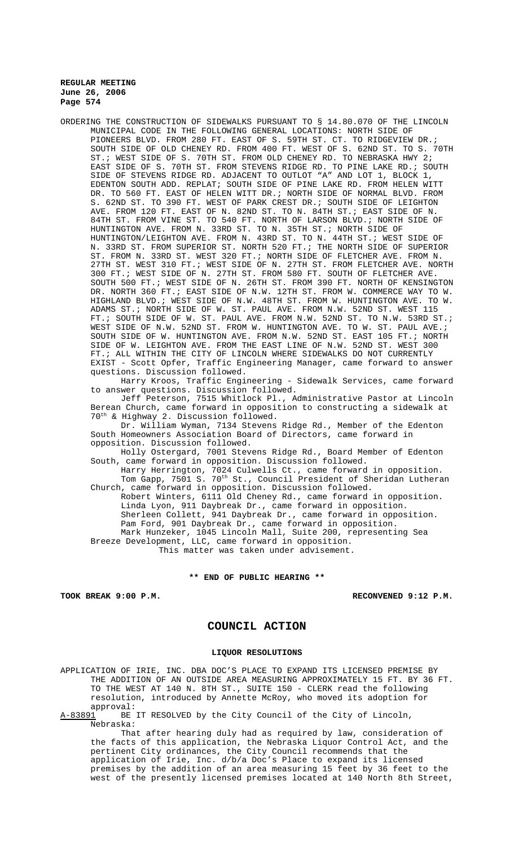ORDERING THE CONSTRUCTION OF SIDEWALKS PURSUANT TO § 14.80.070 OF THE LINCOLN MUNICIPAL CODE IN THE FOLLOWING GENERAL LOCATIONS: NORTH SIDE OF PIONEERS BLVD. FROM 280 FT. EAST OF S. 59TH ST. CT. TO RIDGEVIEW DR.; SOUTH SIDE OF OLD CHENEY RD. FROM 400 FT. WEST OF S. 62ND ST. TO S. 70TH ST.; WEST SIDE OF S. 70TH ST. FROM OLD CHENEY RD. TO NEBRASKA HWY 2; EAST SIDE OF S. 70TH ST. FROM STEVENS RIDGE RD. TO PINE LAKE RD.; SOUTH SIDE OF STEVENS RIDGE RD. ADJACENT TO OUTLOT "A" AND LOT 1, BLOCK 1, EDENTON SOUTH ADD. REPLAT; SOUTH SIDE OF PINE LAKE RD. FROM HELEN WITT DR. TO 560 FT. EAST OF HELEN WITT DR.; NORTH SIDE OF NORMAL BLVD. FROM S. 62ND ST. TO 390 FT. WEST OF PARK CREST DR.; SOUTH SIDE OF LEIGHTON AVE. FROM 120 FT. EAST OF N. 82ND ST. TO N. 84TH ST.; EAST SIDE OF N. 84TH ST. FROM VINE ST. TO 540 FT. NORTH OF LARSON BLVD.; NORTH SIDE OF HUNTINGTON AVE. FROM N. 33RD ST. TO N. 35TH ST.; NORTH SIDE OF HUNTINGTON/LEIGHTON AVE. FROM N. 43RD ST. TO N. 44TH ST.; WEST SIDE OF N. 33RD ST. FROM SUPERIOR ST. NORTH 520 FT.; THE NORTH SIDE OF SUPERIOR ST. FROM N. 33RD ST. WEST 320 FT.; NORTH SIDE OF FLETCHER AVE. FROM N. 27TH ST. WEST 310 FT.; WEST SIDE OF N. 27TH ST. FROM FLETCHER AVE. NORTH 300 FT.; WEST SIDE OF N. 27TH ST. FROM 580 FT. SOUTH OF FLETCHER AVE. SOUTH 500 FT.; WEST SIDE OF N. 26TH ST. FROM 390 FT. NORTH OF KENSINGTON DR. NORTH 360 FT.; EAST SIDE OF N.W. 12TH ST. FROM W. COMMERCE WAY TO W. HIGHLAND BLVD.; WEST SIDE OF N.W. 48TH ST. FROM W. HUNTINGTON AVE. TO W. ADAMS ST.; NORTH SIDE OF W. ST. PAUL AVE. FROM N.W. 52ND ST. WEST 115 FT.; SOUTH SIDE OF W. ST. PAUL AVE. FROM N.W. 52ND ST. TO N.W. 53RD ST.; WEST SIDE OF N.W. 52ND ST. FROM W. HUNTINGTON AVE. TO W. ST. PAUL AVE.; SOUTH SIDE OF W. HUNTINGTON AVE. FROM N.W. 52ND ST. EAST 105 FT.; NORTH SIDE OF W. LEIGHTON AVE. FROM THE EAST LINE OF N.W. 52ND ST. WEST 300 FT.; ALL WITHIN THE CITY OF LINCOLN WHERE SIDEWALKS DO NOT CURRENTLY EXIST - Scott Opfer, Traffic Engineering Manager, came forward to answer questions. Discussion followed.

Harry Kroos, Traffic Engineering - Sidewalk Services, came forward to answer questions. Discussion followed.

Jeff Peterson, 7515 Whitlock Pl., Administrative Pastor at Lincoln Berean Church, came forward in opposition to constructing a sidewalk at 70th & Highway 2. Discussion followed.

Dr. William Wyman, 7134 Stevens Ridge Rd., Member of the Edenton South Homeowners Association Board of Directors, came forward in opposition. Discussion followed.

Holly Ostergard, 7001 Stevens Ridge Rd., Board Member of Edenton South, came forward in opposition. Discussion followed.

Harry Herrington, 7024 Culwells Ct., came forward in opposition. Tom Gapp, 7501 S. 70<sup>th</sup> St., Council President of Sheridan Lutheran Church, came forward in opposition. Discussion followed.

Robert Winters, 6111 Old Cheney Rd., came forward in opposition. Linda Lyon, 911 Daybreak Dr., came forward in opposition. Sherleen Collett, 941 Daybreak Dr., came forward in opposition. Pam Ford, 901 Daybreak Dr., came forward in opposition. Mark Hunzeker, 1045 Lincoln Mall, Suite 200, representing Sea Breeze Development, LLC, came forward in opposition.

This matter was taken under advisement.

#### **\*\* END OF PUBLIC HEARING \*\***

**TOOK BREAK 9:00 P.M. RECONVENED 9:12 P.M.**

# **COUNCIL ACTION**

### **LIQUOR RESOLUTIONS**

APPLICATION OF IRIE, INC. DBA DOC'S PLACE TO EXPAND ITS LICENSED PREMISE BY THE ADDITION OF AN OUTSIDE AREA MEASURING APPROXIMATELY 15 FT. BY 36 FT. TO THE WEST AT 140 N. 8TH ST., SUITE 150 - CLERK read the following resolution, introduced by Annette McRoy, who moved its adoption for approval:

A-83891 BE IT RESOLVED by the City Council of the City of Lincoln, Nebraska:

That after hearing duly had as required by law, consideration of the facts of this application, the Nebraska Liquor Control Act, and the pertinent City ordinances, the City Council recommends that the application of Irie, Inc. d/b/a Doc's Place to expand its licensed premises by the addition of an area measuring 15 feet by 36 feet to the west of the presently licensed premises located at 140 North 8th Street,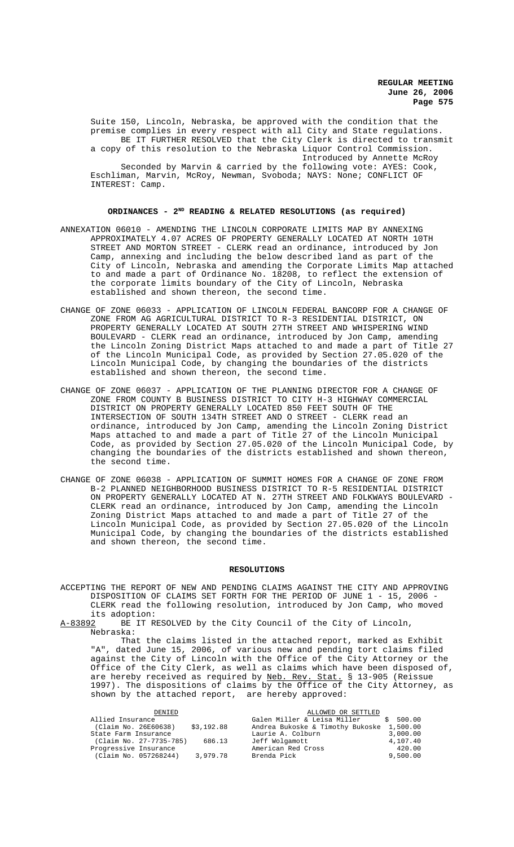Suite 150, Lincoln, Nebraska, be approved with the condition that the premise complies in every respect with all City and State regulations. BE IT FURTHER RESOLVED that the City Clerk is directed to transmit a copy of this resolution to the Nebraska Liquor Control Commission. Introduced by Annette McRoy Seconded by Marvin & carried by the following vote: AYES: Cook, Eschliman, Marvin, McRoy, Newman, Svoboda; NAYS: None; CONFLICT OF INTEREST: Camp.

### **ORDINANCES - 2ND READING & RELATED RESOLUTIONS (as required)**

- ANNEXATION 06010 AMENDING THE LINCOLN CORPORATE LIMITS MAP BY ANNEXING APPROXIMATELY 4.07 ACRES OF PROPERTY GENERALLY LOCATED AT NORTH 10TH STREET AND MORTON STREET - CLERK read an ordinance, introduced by Jon Camp, annexing and including the below described land as part of the City of Lincoln, Nebraska and amending the Corporate Limits Map attached to and made a part of Ordinance No. 18208, to reflect the extension of the corporate limits boundary of the City of Lincoln, Nebraska established and shown thereon, the second time.
- CHANGE OF ZONE 06033 APPLICATION OF LINCOLN FEDERAL BANCORP FOR A CHANGE OF ZONE FROM AG AGRICULTURAL DISTRICT TO R-3 RESIDENTIAL DISTRICT, ON PROPERTY GENERALLY LOCATED AT SOUTH 27TH STREET AND WHISPERING WIND BOULEVARD - CLERK read an ordinance, introduced by Jon Camp, amending the Lincoln Zoning District Maps attached to and made a part of Title 27 of the Lincoln Municipal Code, as provided by Section 27.05.020 of the Lincoln Municipal Code, by changing the boundaries of the districts established and shown thereon, the second time.
- CHANGE OF ZONE 06037 APPLICATION OF THE PLANNING DIRECTOR FOR A CHANGE OF ZONE FROM COUNTY B BUSINESS DISTRICT TO CITY H-3 HIGHWAY COMMERCIAL DISTRICT ON PROPERTY GENERALLY LOCATED 850 FEET SOUTH OF THE INTERSECTION OF SOUTH 134TH STREET AND O STREET - CLERK read an ordinance, introduced by Jon Camp, amending the Lincoln Zoning District Maps attached to and made a part of Title 27 of the Lincoln Municipal Code, as provided by Section 27.05.020 of the Lincoln Municipal Code, by changing the boundaries of the districts established and shown thereon, the second time.
- CHANGE OF ZONE 06038 APPLICATION OF SUMMIT HOMES FOR A CHANGE OF ZONE FROM B-2 PLANNED NEIGHBORHOOD BUSINESS DISTRICT TO R-5 RESIDENTIAL DISTRICT ON PROPERTY GENERALLY LOCATED AT N. 27TH STREET AND FOLKWAYS BOULEVARD - CLERK read an ordinance, introduced by Jon Camp, amending the Lincoln Zoning District Maps attached to and made a part of Title 27 of the Lincoln Municipal Code, as provided by Section 27.05.020 of the Lincoln Municipal Code, by changing the boundaries of the districts established and shown thereon, the second time.

### **RESOLUTIONS**

ACCEPTING THE REPORT OF NEW AND PENDING CLAIMS AGAINST THE CITY AND APPROVING DISPOSITION OF CLAIMS SET FORTH FOR THE PERIOD OF JUNE 1 - 15, 2006 - CLERK read the following resolution, introduced by Jon Camp, who moved its adoption:<br>A-83892 BE IT R

BE IT RESOLVED by the City Council of the City of Lincoln, Nebraska:

That the claims listed in the attached report, marked as Exhibit "A", dated June 15, 2006, of various new and pending tort claims filed against the City of Lincoln with the Office of the City Attorney or the Office of the City Clerk, as well as claims which have been disposed of, are hereby received as required by <u>Neb. Rev. Stat.</u> § 13-905 (Reissue 1997). The dispositions of claims by the Office of the City Attorney, as shown by the attached report, are hereby approved:

|                                   | ALLOWED OR SETTLED               |          |
|-----------------------------------|----------------------------------|----------|
|                                   | Galen Miller & Leisa Miller      | \$500.00 |
| \$3,192.88                        | Andrea Bukoske & Timothy Bukoske | 1,500.00 |
|                                   | Laurie A. Colburn                | 3,000.00 |
| (Claim No. 27-7735-785)<br>686.13 | Jeff Wolgamott                   | 4,107.40 |
|                                   | American Red Cross               | 420.00   |
| 3,979.78                          | Brenda Pick                      | 9,500.00 |
|                                   |                                  |          |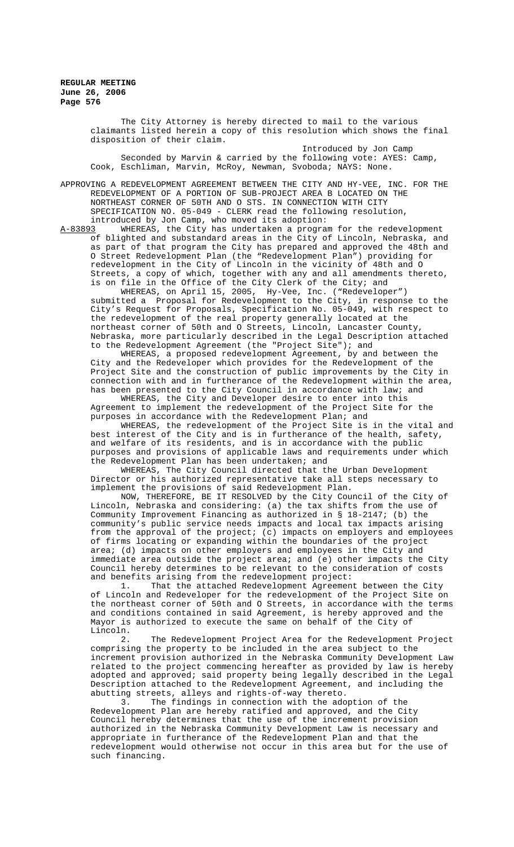> The City Attorney is hereby directed to mail to the various claimants listed herein a copy of this resolution which shows the final disposition of their claim.

Introduced by Jon Camp Seconded by Marvin & carried by the following vote: AYES: Camp, Cook, Eschliman, Marvin, McRoy, Newman, Svoboda; NAYS: None.

APPROVING A REDEVELOPMENT AGREEMENT BETWEEN THE CITY AND HY-VEE, INC. FOR THE REDEVELOPMENT OF A PORTION OF SUB-PROJECT AREA B LOCATED ON THE NORTHEAST CORNER OF 50TH AND O STS. IN CONNECTION WITH CITY SPECIFICATION NO. 05-049 - CLERK read the following resolution, introduced by Jon Camp, who moved its adoption:

A-83893 MHEREAS, the City has undertaken a program for the redevelopment of blighted and substandard areas in the City of Lincoln, Nebraska, and as part of that program the City has prepared and approved the 48th and O Street Redevelopment Plan (the "Redevelopment Plan") providing for redevelopment in the City of Lincoln in the vicinity of 48th and O Streets, a copy of which, together with any and all amendments thereto, is on file in the Office of the City Clerk of the City; and

WHEREAS, on April 15, 2005, Hy-Vee, Inc. ("Redeveloper") submitted a Proposal for Redevelopment to the City, in response to the City's Request for Proposals, Specification No. 05-049, with respect to the redevelopment of the real property generally located at the northeast corner of 50th and O Streets, Lincoln, Lancaster County, Nebraska, more particularly described in the Legal Description attached to the Redevelopment Agreement (the "Project Site"); and

WHEREAS, a proposed redevelopment Agreement, by and between the City and the Redeveloper which provides for the Redevelopment of the Project Site and the construction of public improvements by the City in connection with and in furtherance of the Redevelopment within the area, has been presented to the City Council in accordance with law; and

WHEREAS, the City and Developer desire to enter into this Agreement to implement the redevelopment of the Project Site for the purposes in accordance with the Redevelopment Plan; and

WHEREAS, the redevelopment of the Project Site is in the vital and best interest of the City and is in furtherance of the health, safety, and welfare of its residents, and is in accordance with the public purposes and provisions of applicable laws and requirements under which the Redevelopment Plan has been undertaken; and

WHEREAS, The City Council directed that the Urban Development Director or his authorized representative take all steps necessary to implement the provisions of said Redevelopment Plan.

NOW, THEREFORE, BE IT RESOLVED by the City Council of the City of Lincoln, Nebraska and considering: (a) the tax shifts from the use of Community Improvement Financing as authorized in § 18-2147; (b) the community's public service needs impacts and local tax impacts arising from the approval of the project; (c) impacts on employers and employees of firms locating or expanding within the boundaries of the project area; (d) impacts on other employers and employees in the City and immediate area outside the project area; and (e) other impacts the City Council hereby determines to be relevant to the consideration of costs and benefits arising from the redevelopment project:

1. That the attached Redevelopment Agreement between the City of Lincoln and Redeveloper for the redevelopment of the Project Site on the northeast corner of 50th and O Streets, in accordance with the terms and conditions contained in said Agreement, is hereby approved and the Mayor is authorized to execute the same on behalf of the City of Lincoln.

2. The Redevelopment Project Area for the Redevelopment Project comprising the property to be included in the area subject to the increment provision authorized in the Nebraska Community Development Law related to the project commencing hereafter as provided by law is hereby adopted and approved; said property being legally described in the Legal Description attached to the Redevelopment Agreement, and including the

abutting streets, alleys and rights-of-way thereto. The findings in connection with the adoption of the Redevelopment Plan are hereby ratified and approved, and the City Council hereby determines that the use of the increment provision authorized in the Nebraska Community Development Law is necessary and appropriate in furtherance of the Redevelopment Plan and that the redevelopment would otherwise not occur in this area but for the use of such financing.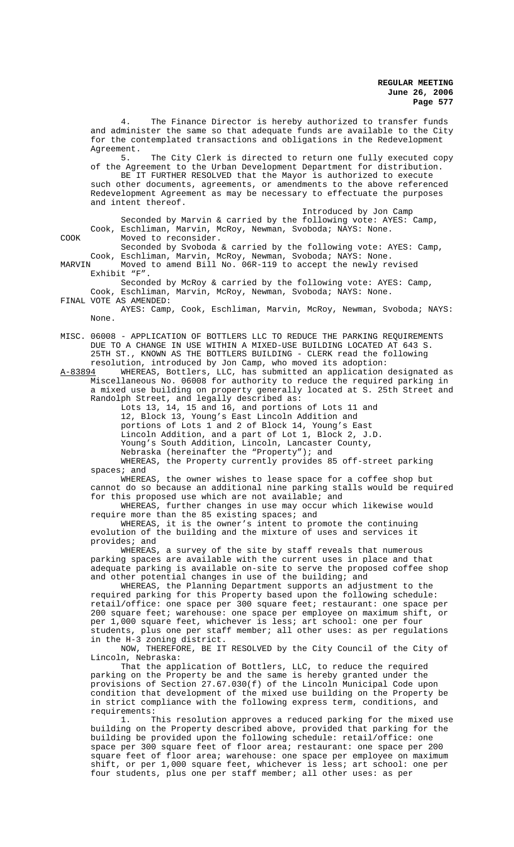4. The Finance Director is hereby authorized to transfer funds and administer the same so that adequate funds are available to the City for the contemplated transactions and obligations in the Redevelopment Agreement.<br>5. The City Clerk is directed to return one fully executed copy of the Agreement to the Urban Development Department for distribution. BE IT FURTHER RESOLVED that the Mayor is authorized to execute

such other documents, agreements, or amendments to the above referenced Redevelopment Agreement as may be necessary to effectuate the purposes and intent thereof.

Introduced by Jon Camp

Seconded by Marvin & carried by the following vote: AYES: Camp, Cook, Eschliman, Marvin, McRoy, Newman, Svoboda; NAYS: None. COOK Moved to reconsider.

Seconded by Svoboda & carried by the following vote: AYES: Camp, Cook, Eschliman, Marvin, McRoy, Newman, Svoboda; NAYS: None.

MARVIN Moved to amend Bill No. 06R-119 to accept the newly revised Exhibit "F".

Seconded by McRoy & carried by the following vote: AYES: Camp, Cook, Eschliman, Marvin, McRoy, Newman, Svoboda; NAYS: None. FINAL VOTE AS AMENDED:

- - AYES: Camp, Cook, Eschliman, Marvin, McRoy, Newman, Svoboda; NAYS: None.

MISC. 06008 - APPLICATION OF BOTTLERS LLC TO REDUCE THE PARKING REQUIREMENTS DUE TO A CHANGE IN USE WITHIN A MIXED-USE BUILDING LOCATED AT 643 S. 25TH ST., KNOWN AS THE BOTTLERS BUILDING - CLERK read the following

resolution, introduced by Jon Camp, who moved its adoption:<br>A-83894 WHEREAS, Bottlers, LLC, has submitted an application WHEREAS, Bottlers, LLC, has submitted an application designated as Miscellaneous No. 06008 for authority to reduce the required parking in a mixed use building on property generally located at S. 25th Street and Randolph Street, and legally described as:

Lots 13, 14, 15 and 16, and portions of Lots 11 and 12, Block 13, Young's East Lincoln Addition and portions of Lots 1 and 2 of Block 14, Young's East Lincoln Addition, and a part of Lot 1, Block 2, J.D. Young's South Addition, Lincoln, Lancaster County, Nebraska (hereinafter the "Property"); and WHEREAS, the Property currently provides 85 off-street parking

spaces; and WHEREAS, the owner wishes to lease space for a coffee shop but cannot do so because an additional nine parking stalls would be required

for this proposed use which are not available; and WHEREAS, further changes in use may occur which likewise would require more than the 85 existing spaces; and

WHEREAS, it is the owner's intent to promote the continuing evolution of the building and the mixture of uses and services it provides; and

WHEREAS, a survey of the site by staff reveals that numerous parking spaces are available with the current uses in place and that adequate parking is available on-site to serve the proposed coffee shop and other potential changes in use of the building; and

WHEREAS, the Planning Department supports an adjustment to the required parking for this Property based upon the following schedule: retail/office: one space per 300 square feet; restaurant: one space per 200 square feet; warehouse: one space per employee on maximum shift, or per 1,000 square feet, whichever is less; art school: one per four students, plus one per staff member; all other uses: as per regulations in the H-3 zoning district.

NOW, THEREFORE, BE IT RESOLVED by the City Council of the City of Lincoln, Nebraska:

That the application of Bottlers, LLC, to reduce the required parking on the Property be and the same is hereby granted under the provisions of Section 27.67.030(f) of the Lincoln Municipal Code upon condition that development of the mixed use building on the Property be in strict compliance with the following express term, conditions, and requirements:

1. This resolution approves a reduced parking for the mixed use building on the Property described above, provided that parking for the building be provided upon the following schedule: retail/office: one space per 300 square feet of floor area; restaurant: one space per 200 square feet of floor area; warehouse: one space per employee on maximum shift, or per 1,000 square feet, whichever is less; art school: one per four students, plus one per staff member; all other uses: as per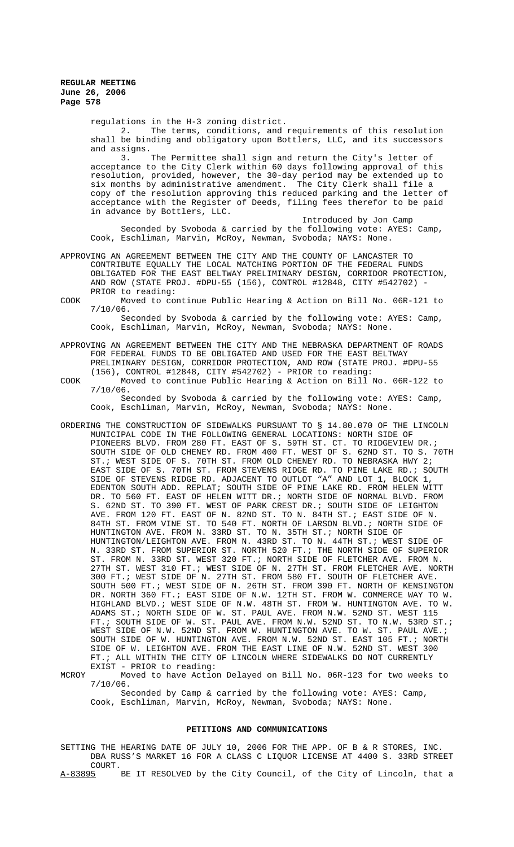> regulations in the H-3 zoning district.<br>2. The terms, conditions, and The terms, conditions, and requirements of this resolution shall be binding and obligatory upon Bottlers, LLC, and its successors and assigns.<br>3. The Permittee shall sign and return the City's letter of

> acceptance to the City Clerk within 60 days following approval of this resolution, provided, however, the 30-day period may be extended up to six months by administrative amendment. The City Clerk shall file a copy of the resolution approving this reduced parking and the letter of acceptance with the Register of Deeds, filing fees therefor to be paid in advance by Bottlers, LLC.

Introduced by Jon Camp Seconded by Svoboda & carried by the following vote: AYES: Camp, Cook, Eschliman, Marvin, McRoy, Newman, Svoboda; NAYS: None.

- APPROVING AN AGREEMENT BETWEEN THE CITY AND THE COUNTY OF LANCASTER TO CONTRIBUTE EQUALLY THE LOCAL MATCHING PORTION OF THE FEDERAL FUNDS OBLIGATED FOR THE EAST BELTWAY PRELIMINARY DESIGN, CORRIDOR PROTECTION, AND ROW (STATE PROJ. #DPU-55 (156), CONTROL #12848, CITY #542702) - PRIOR to reading:
- COOK Moved to continue Public Hearing & Action on Bill No. 06R-121 to 7/10/06.

Seconded by Svoboda & carried by the following vote: AYES: Camp, Cook, Eschliman, Marvin, McRoy, Newman, Svoboda; NAYS: None.

- APPROVING AN AGREEMENT BETWEEN THE CITY AND THE NEBRASKA DEPARTMENT OF ROADS FOR FEDERAL FUNDS TO BE OBLIGATED AND USED FOR THE EAST BELTWAY PRELIMINARY DESIGN, CORRIDOR PROTECTION, AND ROW (STATE PROJ. #DPU-55 (156), CONTROL #12848, CITY #542702) - PRIOR to reading:
- COOK Moved to continue Public Hearing & Action on Bill No. 06R-122 to 7/10/06. Seconded by Svoboda & carried by the following vote: AYES: Camp, Cook, Eschliman, Marvin, McRoy, Newman, Svoboda; NAYS: None.
- ORDERING THE CONSTRUCTION OF SIDEWALKS PURSUANT TO § 14.80.070 OF THE LINCOLN MUNICIPAL CODE IN THE FOLLOWING GENERAL LOCATIONS: NORTH SIDE OF PIONEERS BLVD. FROM 280 FT. EAST OF S. 59TH ST. CT. TO RIDGEVIEW DR.; SOUTH SIDE OF OLD CHENEY RD. FROM 400 FT. WEST OF S. 62ND ST. TO S. 70TH ST.; WEST SIDE OF S. 70TH ST. FROM OLD CHENEY RD. TO NEBRASKA HWY 2; EAST SIDE OF S. 70TH ST. FROM STEVENS RIDGE RD. TO PINE LAKE RD.; SOUTH SIDE OF STEVENS RIDGE RD. ADJACENT TO OUTLOT "A" AND LOT 1, BLOCK 1, EDENTON SOUTH ADD. REPLAT; SOUTH SIDE OF PINE LAKE RD. FROM HELEN WITT DR. TO 560 FT. EAST OF HELEN WITT DR.; NORTH SIDE OF NORMAL BLVD. FROM S. 62ND ST. TO 390 FT. WEST OF PARK CREST DR.; SOUTH SIDE OF LEIGHTON AVE. FROM 120 FT. EAST OF N. 82ND ST. TO N. 84TH ST.; EAST SIDE OF N. 84TH ST. FROM VINE ST. TO 540 FT. NORTH OF LARSON BLVD.; NORTH SIDE OF HUNTINGTON AVE. FROM N. 33RD ST. TO N. 35TH ST.; NORTH SIDE OF HUNTINGTON/LEIGHTON AVE. FROM N. 43RD ST. TO N. 44TH ST.; WEST SIDE OF N. 33RD ST. FROM SUPERIOR ST. NORTH 520 FT.; THE NORTH SIDE OF SUPERIOR ST. FROM N. 33RD ST. WEST 320 FT.; NORTH SIDE OF FLETCHER AVE. FROM N. 27TH ST. WEST 310 FT.; WEST SIDE OF N. 27TH ST. FROM FLETCHER AVE. NORTH 300 FT.; WEST SIDE OF N. 27TH ST. FROM 580 FT. SOUTH OF FLETCHER AVE. SOUTH 500 FT.; WEST SIDE OF N. 26TH ST. FROM 390 FT. NORTH OF KENSINGTON DR. NORTH 360 FT.; EAST SIDE OF N.W. 12TH ST. FROM W. COMMERCE WAY TO W. HIGHLAND BLVD.; WEST SIDE OF N.W. 48TH ST. FROM W. HUNTINGTON AVE. TO W. ADAMS ST.; NORTH SIDE OF W. ST. PAUL AVE. FROM N.W. 52ND ST. WEST 115 FT.; SOUTH SIDE OF W. ST. PAUL AVE. FROM N.W. 52ND ST. TO N.W. 53RD ST.; WEST SIDE OF N.W. 52ND ST. FROM W. HUNTINGTON AVE. TO W. ST. PAUL AVE.; SOUTH SIDE OF W. HUNTINGTON AVE. FROM N.W. 52ND ST. EAST 105 FT.; NORTH SIDE OF W. LEIGHTON AVE. FROM THE EAST LINE OF N.W. 52ND ST. WEST 300 FT.; ALL WITHIN THE CITY OF LINCOLN WHERE SIDEWALKS DO NOT CURRENTLY EXIST - PRIOR to reading:

MCROY Moved to have Action Delayed on Bill No. 06R-123 for two weeks to 7/10/06.

Seconded by Camp & carried by the following vote: AYES: Camp, Cook, Eschliman, Marvin, McRoy, Newman, Svoboda; NAYS: None.

### **PETITIONS AND COMMUNICATIONS**

SETTING THE HEARING DATE OF JULY 10, 2006 FOR THE APP. OF B & R STORES, INC. DBA RUSS'S MARKET 16 FOR A CLASS C LIQUOR LICENSE AT 4400 S. 33RD STREET

COURT.<br> $A-83895$ BE IT RESOLVED by the City Council, of the City of Lincoln, that a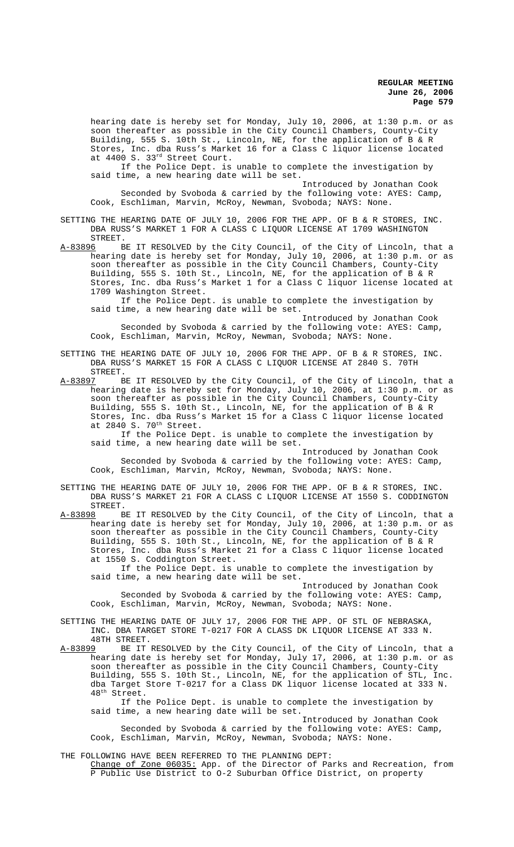hearing date is hereby set for Monday, July 10, 2006, at 1:30 p.m. or as soon thereafter as possible in the City Council Chambers, County-City Building, 555 S. 10th St., Lincoln, NE, for the application of B & R Stores, Inc. dba Russ's Market 16 for a Class C liquor license located at 4400 S. 33rd Street Court.

If the Police Dept. is unable to complete the investigation by said time, a new hearing date will be set.

Introduced by Jonathan Cook Seconded by Svoboda & carried by the following vote: AYES: Camp, Cook, Eschliman, Marvin, McRoy, Newman, Svoboda; NAYS: None.

SETTING THE HEARING DATE OF JULY 10, 2006 FOR THE APP. OF B & R STORES, INC. DBA RUSS'S MARKET 1 FOR A CLASS C LIQUOR LICENSE AT 1709 WASHINGTON STREET.<br>A-83896 B

BE IT RESOLVED by the City Council, of the City of Lincoln, that a hearing date is hereby set for Monday, July 10, 2006, at 1:30 p.m. or as soon thereafter as possible in the City Council Chambers, County-City Building, 555 S. 10th St., Lincoln, NE, for the application of B & R Stores, Inc. dba Russ's Market 1 for a Class C liquor license located at 1709 Washington Street.

If the Police Dept. is unable to complete the investigation by said time, a new hearing date will be set.

Introduced by Jonathan Cook Seconded by Svoboda & carried by the following vote: AYES: Camp, Cook, Eschliman, Marvin, McRoy, Newman, Svoboda; NAYS: None.

SETTING THE HEARING DATE OF JULY 10, 2006 FOR THE APP. OF B & R STORES, INC. DBA RUSS'S MARKET 15 FOR A CLASS C LIQUOR LICENSE AT 2840 S. 70TH

STREET.<br>A-83897 B A.<br>BE IT RESOLVED by the City Council, of the City of Lincoln, that a hearing date is hereby set for Monday, July 10, 2006, at 1:30 p.m. or as soon thereafter as possible in the City Council Chambers, County-City Building, 555 S. 10th St., Lincoln, NE, for the application of B & R Stores, Inc. dba Russ's Market 15 for a Class C liquor license located at  $2840$  S.  $70^{th}$  Street.

If the Police Dept. is unable to complete the investigation by said time, a new hearing date will be set.

Introduced by Jonathan Cook Seconded by Svoboda & carried by the following vote: AYES: Camp, Cook, Eschliman, Marvin, McRoy, Newman, Svoboda; NAYS: None.

SETTING THE HEARING DATE OF JULY 10, 2006 FOR THE APP. OF B & R STORES, INC. DBA RUSS'S MARKET 21 FOR A CLASS C LIQUOR LICENSE AT 1550 S. CODDINGTON  $STREF.$ <br>A-83898 B

BE IT RESOLVED by the City Council, of the City of Lincoln, that a hearing date is hereby set for Monday, July 10, 2006, at 1:30 p.m. or as soon thereafter as possible in the City Council Chambers, County-City Building, 555 S. 10th St., Lincoln, NE, for the application of B & R Stores, Inc. dba Russ's Market 21 for a Class C liquor license located at 1550 S. Coddington Street.

If the Police Dept. is unable to complete the investigation by said time, a new hearing date will be set.

Introduced by Jonathan Cook Seconded by Svoboda & carried by the following vote: AYES: Camp, Cook, Eschliman, Marvin, McRoy, Newman, Svoboda; NAYS: None.

SETTING THE HEARING DATE OF JULY 17, 2006 FOR THE APP. OF STL OF NEBRASKA, INC. DBA TARGET STORE T-0217 FOR A CLASS DK LIQUOR LICENSE AT 333 N.

48TH STREET.<br>A-83899 BE IT BE IT RESOLVED by the City Council, of the City of Lincoln, that a hearing date is hereby set for Monday, July 17, 2006, at 1:30 p.m. or as soon thereafter as possible in the City Council Chambers, County-City Building, 555 S. 10th St., Lincoln, NE, for the application of STL, Inc. dba Target Store T-0217 for a Class DK liquor license located at 333 N. 48th Street.

If the Police Dept. is unable to complete the investigation by said time, a new hearing date will be set.

Introduced by Jonathan Cook Seconded by Svoboda & carried by the following vote: AYES: Camp, Cook, Eschliman, Marvin, McRoy, Newman, Svoboda; NAYS: None.

THE FOLLOWING HAVE BEEN REFERRED TO THE PLANNING DEPT: Change of Zone 06035: App. of the Director of Parks and Recreation, from Public Use District to 0-2 Suburban Office District, on property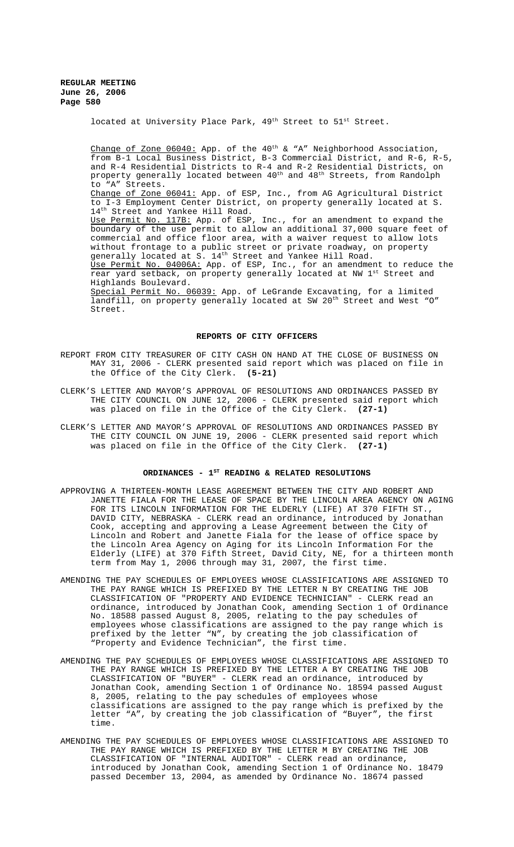located at University Place Park,  $49<sup>th</sup>$  Street to  $51<sup>st</sup>$  Street.

Change of Zone  $06040$ : App. of the  $40^{th}$  & "A" Neighborhood Association, from B-1 Local Business District, B-3 Commercial District, and R-6, R-5, and R-4 Residential Districts to R-4 and R-2 Residential Districts, on property generally located between 40<sup>th</sup> and 48<sup>th</sup> Streets, from Randolph to "A" Streets. Change of Zone 06041: App. of ESP, Inc., from AG Agricultural District to I-3 Employment Center District, on property generally located at S. 14th Street and Yankee Hill Road. Use Permit No. 117B: App. of ESP, Inc., for an amendment to expand the boundary of the use permit to allow an additional 37,000 square feet of commercial and office floor area, with a waiver request to allow lots without frontage to a public street or private roadway, on property generally located at S. 14<sup>th</sup> Street and Yankee Hill Road. Use Permit No. 04006A: App. of ESP, Inc., for an amendment to reduce the rear yard setback, on property generally located at NW 1<sup>st</sup> Street and Highlands Boulevard. Special Permit No. 06039: App. of LeGrande Excavating, for a limited landfill, on property generally located at SW 20<sup>th</sup> Street and West "O" Street.

### **REPORTS OF CITY OFFICERS**

- REPORT FROM CITY TREASURER OF CITY CASH ON HAND AT THE CLOSE OF BUSINESS ON MAY 31, 2006 - CLERK presented said report which was placed on file in the Office of the City Clerk. **(5-21)**
- CLERK'S LETTER AND MAYOR'S APPROVAL OF RESOLUTIONS AND ORDINANCES PASSED BY THE CITY COUNCIL ON JUNE 12, 2006 - CLERK presented said report which was placed on file in the Office of the City Clerk. **(27-1)**
- CLERK'S LETTER AND MAYOR'S APPROVAL OF RESOLUTIONS AND ORDINANCES PASSED BY THE CITY COUNCIL ON JUNE 19, 2006 - CLERK presented said report which was placed on file in the Office of the City Clerk. **(27-1)**

# ORDINANCES - 1<sup>st</sup> READING & RELATED RESOLUTIONS

- APPROVING A THIRTEEN-MONTH LEASE AGREEMENT BETWEEN THE CITY AND ROBERT AND JANETTE FIALA FOR THE LEASE OF SPACE BY THE LINCOLN AREA AGENCY ON AGING FOR ITS LINCOLN INFORMATION FOR THE ELDERLY (LIFE) AT 370 FIFTH ST., DAVID CITY, NEBRASKA - CLERK read an ordinance, introduced by Jonathan Cook, accepting and approving a Lease Agreement between the City of Lincoln and Robert and Janette Fiala for the lease of office space by the Lincoln Area Agency on Aging for its Lincoln Information For the Elderly (LIFE) at 370 Fifth Street, David City, NE, for a thirteen month term from May 1, 2006 through may 31, 2007, the first time.
- AMENDING THE PAY SCHEDULES OF EMPLOYEES WHOSE CLASSIFICATIONS ARE ASSIGNED TO THE PAY RANGE WHICH IS PREFIXED BY THE LETTER N BY CREATING THE JOB CLASSIFICATION OF "PROPERTY AND EVIDENCE TECHNICIAN" - CLERK read an ordinance, introduced by Jonathan Cook, amending Section 1 of Ordinance No. 18588 passed August 8, 2005, relating to the pay schedules of employees whose classifications are assigned to the pay range which is prefixed by the letter "N", by creating the job classification of "Property and Evidence Technician", the first time.
- AMENDING THE PAY SCHEDULES OF EMPLOYEES WHOSE CLASSIFICATIONS ARE ASSIGNED TO THE PAY RANGE WHICH IS PREFIXED BY THE LETTER A BY CREATING THE JOB CLASSIFICATION OF "BUYER" - CLERK read an ordinance, introduced by Jonathan Cook, amending Section 1 of Ordinance No. 18594 passed August 8, 2005, relating to the pay schedules of employees whose classifications are assigned to the pay range which is prefixed by the letter "A", by creating the job classification of "Buyer", the first time.
- AMENDING THE PAY SCHEDULES OF EMPLOYEES WHOSE CLASSIFICATIONS ARE ASSIGNED TO THE PAY RANGE WHICH IS PREFIXED BY THE LETTER M BY CREATING THE JOB CLASSIFICATION OF "INTERNAL AUDITOR" - CLERK read an ordinance, introduced by Jonathan Cook, amending Section 1 of Ordinance No. 18479 passed December 13, 2004, as amended by Ordinance No. 18674 passed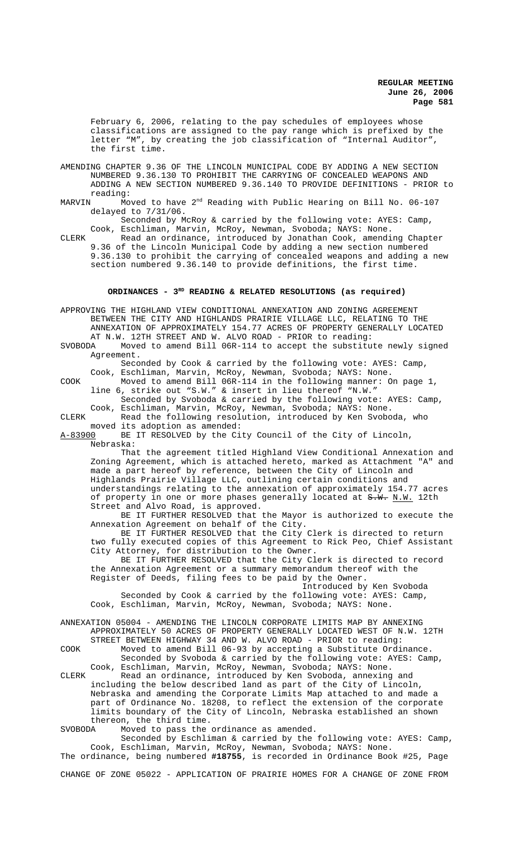February 6, 2006, relating to the pay schedules of employees whose classifications are assigned to the pay range which is prefixed by the letter "M", by creating the job classification of "Internal Auditor", the first time.

- AMENDING CHAPTER 9.36 OF THE LINCOLN MUNICIPAL CODE BY ADDING A NEW SECTION NUMBERED 9.36.130 TO PROHIBIT THE CARRYING OF CONCEALED WEAPONS AND ADDING A NEW SECTION NUMBERED 9.36.140 TO PROVIDE DEFINITIONS - PRIOR to reading:<br>MARVIN Mo
- Moved to have 2<sup>nd</sup> Reading with Public Hearing on Bill No. 06-107 delayed to 7/31/06.

Seconded by McRoy & carried by the following vote: AYES: Camp, Cook, Eschliman, Marvin, McRoy, Newman, Svoboda; NAYS: None.

CLERK Read an ordinance, introduced by Jonathan Cook, amending Chapter 9.36 of the Lincoln Municipal Code by adding a new section numbered 9.36.130 to prohibit the carrying of concealed weapons and adding a new section numbered 9.36.140 to provide definitions, the first time.

# **ORDINANCES - 3RD READING & RELATED RESOLUTIONS (as required)**

APPROVING THE HIGHLAND VIEW CONDITIONAL ANNEXATION AND ZONING AGREEMENT BETWEEN THE CITY AND HIGHLANDS PRAIRIE VILLAGE LLC, RELATING TO THE ANNEXATION OF APPROXIMATELY 154.77 ACRES OF PROPERTY GENERALLY LOCATED AT N.W. 12TH STREET AND W. ALVO ROAD - PRIOR to reading:<br>SVOBODA Moved to amend Bill 06R-114 to accept the substitu Moved to amend Bill 06R-114 to accept the substitute newly signed Agreement. Seconded by Cook & carried by the following vote: AYES: Camp, Cook, Eschliman, Marvin, McRoy, Newman, Svoboda; NAYS: None. COOK Moved to amend Bill 06R-114 in the following manner: On page 1, line 6, strike out "S.W." & insert in lieu thereof "N.W." Seconded by Svoboda & carried by the following vote: AYES: Camp, Cook, Eschliman, Marvin, McRoy, Newman, Svoboda; NAYS: None. CLERK Read the following resolution, introduced by Ken Svoboda, who moved its adoption as amended:<br>A-83900 BE IT RESOLVED by the Ci BE IT RESOLVED by the City Council of the City of Lincoln, Nebraska: That the agreement titled Highland View Conditional Annexation and Zoning Agreement, which is attached hereto, marked as Attachment "A" and made a part hereof by reference, between the City of Lincoln and Highlands Prairie Village LLC, outlining certain conditions and understandings relating to the annexation of approximately 154.77 acres of property in one or more phases generally located at  $S-W$ . N.W. 12th Street and Alvo Road, is approved. BE IT FURTHER RESOLVED that the Mayor is authorized to execute the Annexation Agreement on behalf of the City. BE IT FURTHER RESOLVED that the City Clerk is directed to return two fully executed copies of this Agreement to Rick Peo, Chief Assistant City Attorney, for distribution to the Owner. BE IT FURTHER RESOLVED that the City Clerk is directed to record the Annexation Agreement or a summary memorandum thereof with the Register of Deeds, filing fees to be paid by the Owner. Introduced by Ken Svoboda Seconded by Cook & carried by the following vote: AYES: Camp, Cook, Eschliman, Marvin, McRoy, Newman, Svoboda; NAYS: None. ANNEXATION 05004 - AMENDING THE LINCOLN CORPORATE LIMITS MAP BY ANNEXING APPROXIMATELY 50 ACRES OF PROPERTY GENERALLY LOCATED WEST OF N.W. 12TH STREET BETWEEN HIGHWAY 34 AND W. ALVO ROAD - PRIOR to reading: COOK Moved to amend Bill 06-93 by accepting a Substitute Ordinance. Seconded by Svoboda & carried by the following vote: AYES: Camp, Cook, Eschliman, Marvin, McRoy, Newman, Svoboda; NAYS: None. CLERK Read an ordinance, introduced by Ken Svoboda, annexing and including the below described land as part of the City of Lincoln, Nebraska and amending the Corporate Limits Map attached to and made a part of Ordinance No. 18208, to reflect the extension of the corporate limits boundary of the City of Lincoln, Nebraska established an shown thereon, the third time.<br>SVOBODA Moved to pass the

Moved to pass the ordinance as amended.

Seconded by Eschliman & carried by the following vote: AYES: Camp, Cook, Eschliman, Marvin, McRoy, Newman, Svoboda; NAYS: None.

The ordinance, being numbered **#18755**, is recorded in Ordinance Book #25, Page

CHANGE OF ZONE 05022 - APPLICATION OF PRAIRIE HOMES FOR A CHANGE OF ZONE FROM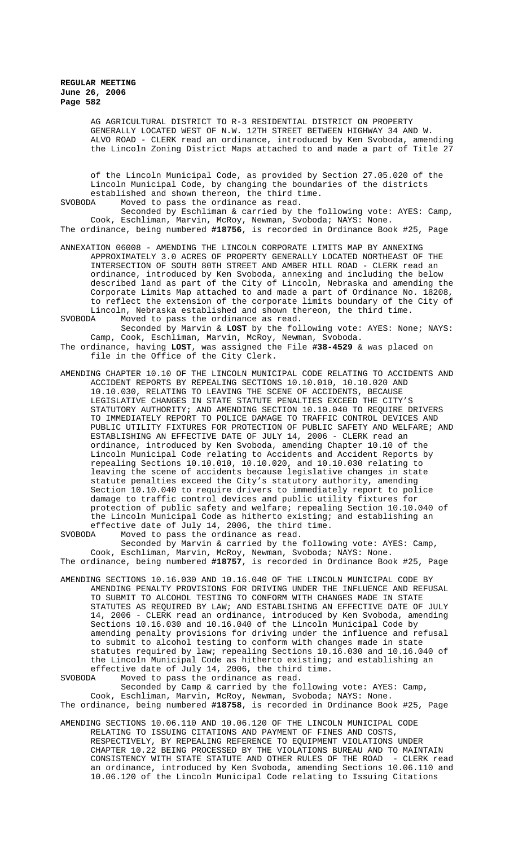AG AGRICULTURAL DISTRICT TO R-3 RESIDENTIAL DISTRICT ON PROPERTY GENERALLY LOCATED WEST OF N.W. 12TH STREET BETWEEN HIGHWAY 34 AND W. ALVO ROAD - CLERK read an ordinance, introduced by Ken Svoboda, amending the Lincoln Zoning District Maps attached to and made a part of Title 27

of the Lincoln Municipal Code, as provided by Section 27.05.020 of the Lincoln Municipal Code, by changing the boundaries of the districts established and shown thereon, the third time.<br>SVORODA Moved to pass the ordinance as read Moved to pass the ordinance as read.

Seconded by Eschliman & carried by the following vote: AYES: Camp, Cook, Eschliman, Marvin, McRoy, Newman, Svoboda; NAYS: None. The ordinance, being numbered **#18756**, is recorded in Ordinance Book #25, Page

- ANNEXATION 06008 AMENDING THE LINCOLN CORPORATE LIMITS MAP BY ANNEXING APPROXIMATELY 3.0 ACRES OF PROPERTY GENERALLY LOCATED NORTHEAST OF THE INTERSECTION OF SOUTH 80TH STREET AND AMBER HILL ROAD - CLERK read an ordinance, introduced by Ken Svoboda, annexing and including the below described land as part of the City of Lincoln, Nebraska and amending the Corporate Limits Map attached to and made a part of Ordinance No. 18208, to reflect the extension of the corporate limits boundary of the City of Lincoln, Nebraska established and shown thereon, the third time.<br>SVOBODA Moved to pass the ordinance as read.
- Moved to pass the ordinance as read. Seconded by Marvin & **LOST** by the following vote: AYES: None; NAYS: Camp, Cook, Eschliman, Marvin, McRoy, Newman, Svoboda.
- The ordinance, having **LOST**, was assigned the File **#38-4529** & was placed on file in the Office of the City Clerk.
- AMENDING CHAPTER 10.10 OF THE LINCOLN MUNICIPAL CODE RELATING TO ACCIDENTS AND ACCIDENT REPORTS BY REPEALING SECTIONS 10.10.010, 10.10.020 AND 10.10.030, RELATING TO LEAVING THE SCENE OF ACCIDENTS, BECAUSE LEGISLATIVE CHANGES IN STATE STATUTE PENALTIES EXCEED THE CITY'S STATUTORY AUTHORITY; AND AMENDING SECTION 10.10.040 TO REQUIRE DRIVERS TO IMMEDIATELY REPORT TO POLICE DAMAGE TO TRAFFIC CONTROL DEVICES AND PUBLIC UTILITY FIXTURES FOR PROTECTION OF PUBLIC SAFETY AND WELFARE; AND ESTABLISHING AN EFFECTIVE DATE OF JULY 14, 2006 - CLERK read an ordinance, introduced by Ken Svoboda, amending Chapter 10.10 of the Lincoln Municipal Code relating to Accidents and Accident Reports by repealing Sections 10.10.010, 10.10.020, and 10.10.030 relating to leaving the scene of accidents because legislative changes in state statute penalties exceed the City's statutory authority, amending Section 10.10.040 to require drivers to immediately report to police damage to traffic control devices and public utility fixtures for protection of public safety and welfare; repealing Section 10.10.040 of the Lincoln Municipal Code as hitherto existing; and establishing an effective date of July 14, 2006, the third time.<br>SVOBODA Moved to pass the ordinance as read. Moved to pass the ordinance as read.

Seconded by Marvin & carried by the following vote: AYES: Camp, Cook, Eschliman, Marvin, McRoy, Newman, Svoboda; NAYS: None.

The ordinance, being numbered **#18757**, is recorded in Ordinance Book #25, Page

AMENDING SECTIONS 10.16.030 AND 10.16.040 OF THE LINCOLN MUNICIPAL CODE BY AMENDING PENALTY PROVISIONS FOR DRIVING UNDER THE INFLUENCE AND REFUSAL TO SUBMIT TO ALCOHOL TESTING TO CONFORM WITH CHANGES MADE IN STATE STATUTES AS REQUIRED BY LAW; AND ESTABLISHING AN EFFECTIVE DATE OF JULY 14, 2006 - CLERK read an ordinance, introduced by Ken Svoboda, amending Sections 10.16.030 and 10.16.040 of the Lincoln Municipal Code by amending penalty provisions for driving under the influence and refusal to submit to alcohol testing to conform with changes made in state statutes required by law; repealing Sections 10.16.030 and 10.16.040 of the Lincoln Municipal Code as hitherto existing; and establishing an effective date of July 14, 2006, the third time.<br>SVOBODA Moved to pass the ordinance as read.

Moved to pass the ordinance as read.

Seconded by Camp & carried by the following vote: AYES: Camp, Cook, Eschliman, Marvin, McRoy, Newman, Svoboda; NAYS: None. The ordinance, being numbered **#18758**, is recorded in Ordinance Book #25, Page

AMENDING SECTIONS 10.06.110 AND 10.06.120 OF THE LINCOLN MUNICIPAL CODE RELATING TO ISSUING CITATIONS AND PAYMENT OF FINES AND COSTS, RESPECTIVELY, BY REPEALING REFERENCE TO EQUIPMENT VIOLATIONS UNDER CHAPTER 10.22 BEING PROCESSED BY THE VIOLATIONS BUREAU AND TO MAINTAIN CONSISTENCY WITH STATE STATUTE AND OTHER RULES OF THE ROAD - CLERK read an ordinance, introduced by Ken Svoboda, amending Sections 10.06.110 and 10.06.120 of the Lincoln Municipal Code relating to Issuing Citations